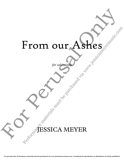## From our Ashes From our Ashes Prom our Ashes

for solo violin de la propiese

ESSICA MEYER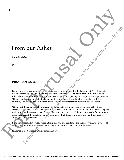## From our Ashes

*for solo violin*

**5'**

## **PROGRAM NOTE**

Early in my compositional career, I had written a violin quartet for the ladies in MoVE (the Modern Violin Ensemble) and Livia Sohn was one of the violinists. Long before then we had studied at Juilliard during the same time, and I was always a fan of her playing and her powerful stage presence. When I had heard that she had taken a break from playing the violin after struggling with focal dystonia, I offered to write a piece in a way that was comfortable for her when she was ready.

When I got the email that she was ready to get back to playing in time for Spoleto 2021, I was overjoyed. We talked about what specific actions in her fingers we should avoid, and I wrote the piece with those enabling constraints. I wrote for myself and loop pedal for several years before writing for other people, and the machine had its limitations which I had to work around - so I was used to employing such measures. From our Ashes<br>
for solo stating<br>
for solo stating<br>  $\frac{1}{2}$ <br>
FROGRAM NOTE<br>
EMP is an exapsorization is equal to the station of the station of the station of  $\frac{1}{2}$ <br>
PROGRAM NOTE<br>
EMP is an exapsorization is equal to **CONSERVAL AS A LOSS CONSERVAL AS A LOSS CONSERVAL AND A LOSS CONSERVAL AND CONSERVAL AND CONSERVAL AS CONSERVAL AND CONSERVAL AS CONSERVATION CONSERVATION CONSERVATION CONSERVATION CONSERVATION CONSERVATION CONSERVATION** 

I find many parallels between writing this piece and our pandemic experience - we have a new set of limitations, but that does not mean we can't pivot and live well in those limitations.

It just takes a bit of ingenuity, patience, and love.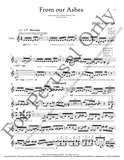

©2021 JMM Publishing (BMI). All rights reserved. **For perusal only. Performance materials must be purchased via www.jessicameyermusic.com. Unauthorized reproduction or distribution is strictly prohibited.**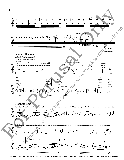

**For perusal only. Performance materials must be purchased via www.jessicameyermusic.com. Unauthorized reproduction or distribution is strictly prohibited.**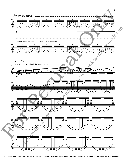

For perusal only. Performance materials must be purchased via www.jessicameyermusic.com. Unauthorized reproduction or distribution is strictly prohibited.